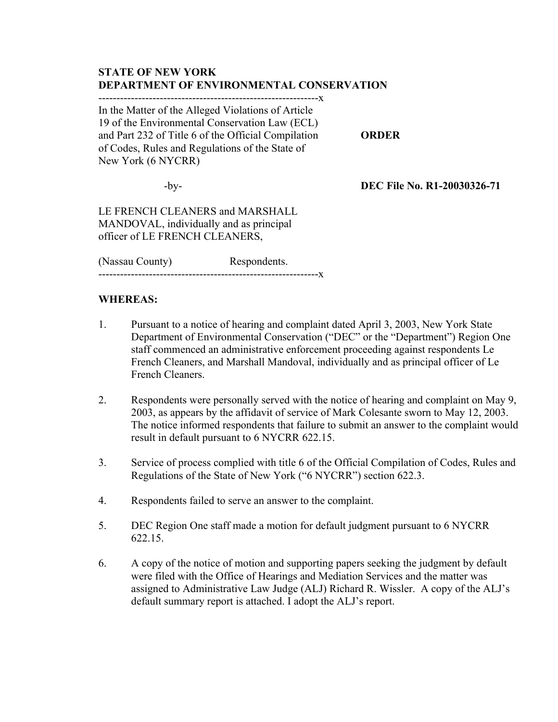# **STATE OF NEW YORK DEPARTMENT OF ENVIRONMENTAL CONSERVATION**

-------------------------------------------------------------x

In the Matter of the Alleged Violations of Article 19 of the Environmental Conservation Law (ECL) and Part 232 of Title 6 of the Official Compilation **ORDER** of Codes, Rules and Regulations of the State of New York (6 NYCRR)

-by- **DEC File No. R1-20030326-71**

LE FRENCH CLEANERS and MARSHALL MANDOVAL, individually and as principal officer of LE FRENCH CLEANERS,

(Nassau County) Respondents. -------------------------------------------------------------x

### **WHEREAS:**

- 1. Pursuant to a notice of hearing and complaint dated April 3, 2003, New York State Department of Environmental Conservation ("DEC" or the "Department") Region One staff commenced an administrative enforcement proceeding against respondents Le French Cleaners, and Marshall Mandoval, individually and as principal officer of Le French Cleaners.
- 2. Respondents were personally served with the notice of hearing and complaint on May 9, 2003, as appears by the affidavit of service of Mark Colesante sworn to May 12, 2003. The notice informed respondents that failure to submit an answer to the complaint would result in default pursuant to 6 NYCRR 622.15.
- 3. Service of process complied with title 6 of the Official Compilation of Codes, Rules and Regulations of the State of New York ("6 NYCRR") section 622.3.
- 4. Respondents failed to serve an answer to the complaint.
- 5. DEC Region One staff made a motion for default judgment pursuant to 6 NYCRR 622.15.
- 6. A copy of the notice of motion and supporting papers seeking the judgment by default were filed with the Office of Hearings and Mediation Services and the matter was assigned to Administrative Law Judge (ALJ) Richard R. Wissler. A copy of the ALJ's default summary report is attached. I adopt the ALJ's report.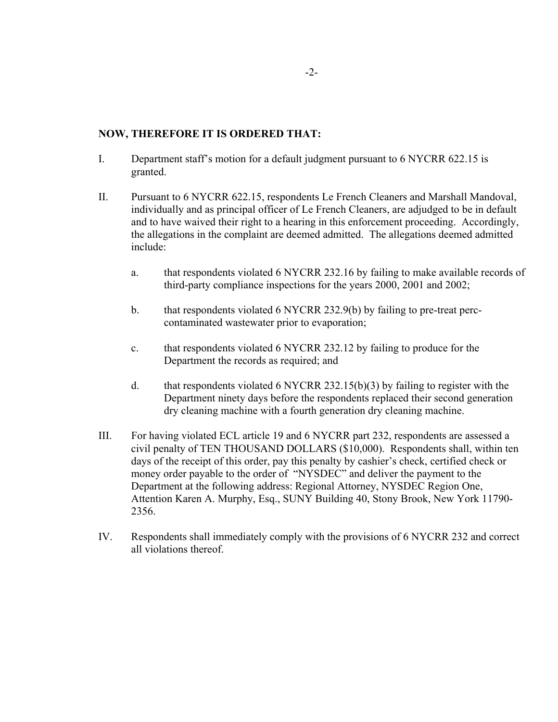### **NOW, THEREFORE IT IS ORDERED THAT:**

- I. Department staff's motion for a default judgment pursuant to 6 NYCRR 622.15 is granted.
- II. Pursuant to 6 NYCRR 622.15, respondents Le French Cleaners and Marshall Mandoval, individually and as principal officer of Le French Cleaners, are adjudged to be in default and to have waived their right to a hearing in this enforcement proceeding. Accordingly, the allegations in the complaint are deemed admitted. The allegations deemed admitted include:
	- a. that respondents violated 6 NYCRR 232.16 by failing to make available records of third-party compliance inspections for the years 2000, 2001 and 2002;
	- b. that respondents violated 6 NYCRR 232.9(b) by failing to pre-treat perccontaminated wastewater prior to evaporation;
	- c. that respondents violated 6 NYCRR 232.12 by failing to produce for the Department the records as required; and
	- d. that respondents violated 6 NYCRR 232.15(b)(3) by failing to register with the Department ninety days before the respondents replaced their second generation dry cleaning machine with a fourth generation dry cleaning machine.
- III. For having violated ECL article 19 and 6 NYCRR part 232, respondents are assessed a civil penalty of TEN THOUSAND DOLLARS (\$10,000). Respondents shall, within ten days of the receipt of this order, pay this penalty by cashier's check, certified check or money order payable to the order of "NYSDEC" and deliver the payment to the Department at the following address: Regional Attorney, NYSDEC Region One, Attention Karen A. Murphy, Esq., SUNY Building 40, Stony Brook, New York 11790- 2356.
- IV. Respondents shall immediately comply with the provisions of 6 NYCRR 232 and correct all violations thereof.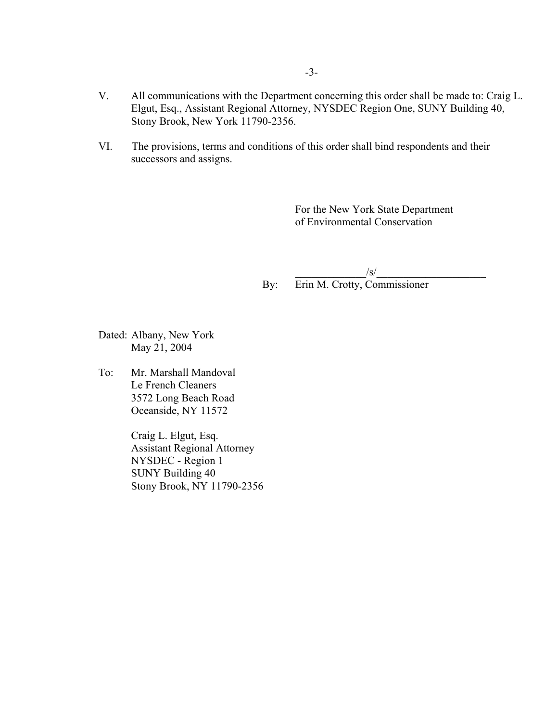- V. All communications with the Department concerning this order shall be made to: Craig L. Elgut, Esq., Assistant Regional Attorney, NYSDEC Region One, SUNY Building 40, Stony Brook, New York 11790-2356.
- VI. The provisions, terms and conditions of this order shall bind respondents and their successors and assigns.

For the New York State Department of Environmental Conservation

 $/s/$ By: Erin M. Crotty, Commissioner

Dated: Albany, New York May 21, 2004

To: Mr. Marshall Mandoval Le French Cleaners 3572 Long Beach Road Oceanside, NY 11572

> Craig L. Elgut, Esq. Assistant Regional Attorney NYSDEC - Region 1 SUNY Building 40 Stony Brook, NY 11790-2356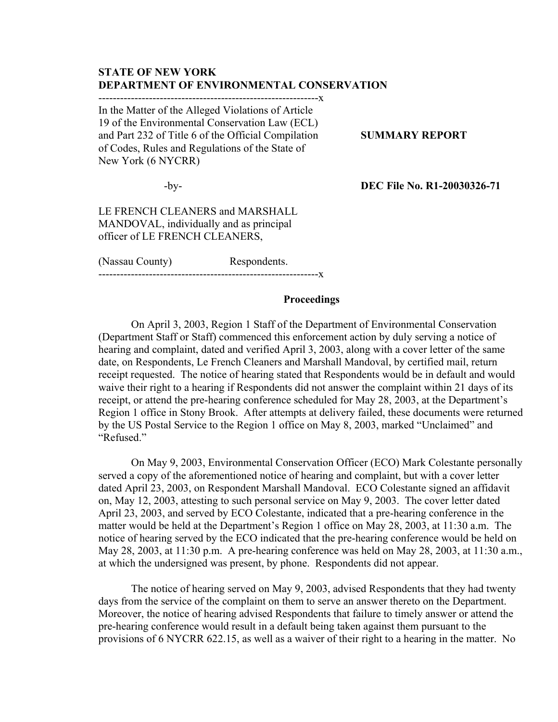## **STATE OF NEW YORK DEPARTMENT OF ENVIRONMENTAL CONSERVATION**

-------------------------------------------------------------x

In the Matter of the Alleged Violations of Article 19 of the Environmental Conservation Law (ECL) and Part 232 of Title 6 of the Official Compilation **SUMMARY REPORT** of Codes, Rules and Regulations of the State of New York (6 NYCRR)

-by- **DEC File No. R1-20030326-71**

LE FRENCH CLEANERS and MARSHALL MANDOVAL, individually and as principal officer of LE FRENCH CLEANERS,

(Nassau County) Respondents.

-------------------------------------------------------------x

#### **Proceedings**

On April 3, 2003, Region 1 Staff of the Department of Environmental Conservation (Department Staff or Staff) commenced this enforcement action by duly serving a notice of hearing and complaint, dated and verified April 3, 2003, along with a cover letter of the same date, on Respondents, Le French Cleaners and Marshall Mandoval, by certified mail, return receipt requested. The notice of hearing stated that Respondents would be in default and would waive their right to a hearing if Respondents did not answer the complaint within 21 days of its receipt, or attend the pre-hearing conference scheduled for May 28, 2003, at the Department's Region 1 office in Stony Brook. After attempts at delivery failed, these documents were returned by the US Postal Service to the Region 1 office on May 8, 2003, marked "Unclaimed" and "Refused."

On May 9, 2003, Environmental Conservation Officer (ECO) Mark Colestante personally served a copy of the aforementioned notice of hearing and complaint, but with a cover letter dated April 23, 2003, on Respondent Marshall Mandoval. ECO Colestante signed an affidavit on, May 12, 2003, attesting to such personal service on May 9, 2003. The cover letter dated April 23, 2003, and served by ECO Colestante, indicated that a pre-hearing conference in the matter would be held at the Department's Region 1 office on May 28, 2003, at 11:30 a.m. The notice of hearing served by the ECO indicated that the pre-hearing conference would be held on May 28, 2003, at 11:30 p.m. A pre-hearing conference was held on May 28, 2003, at 11:30 a.m., at which the undersigned was present, by phone. Respondents did not appear.

The notice of hearing served on May 9, 2003, advised Respondents that they had twenty days from the service of the complaint on them to serve an answer thereto on the Department. Moreover, the notice of hearing advised Respondents that failure to timely answer or attend the pre-hearing conference would result in a default being taken against them pursuant to the provisions of 6 NYCRR 622.15, as well as a waiver of their right to a hearing in the matter. No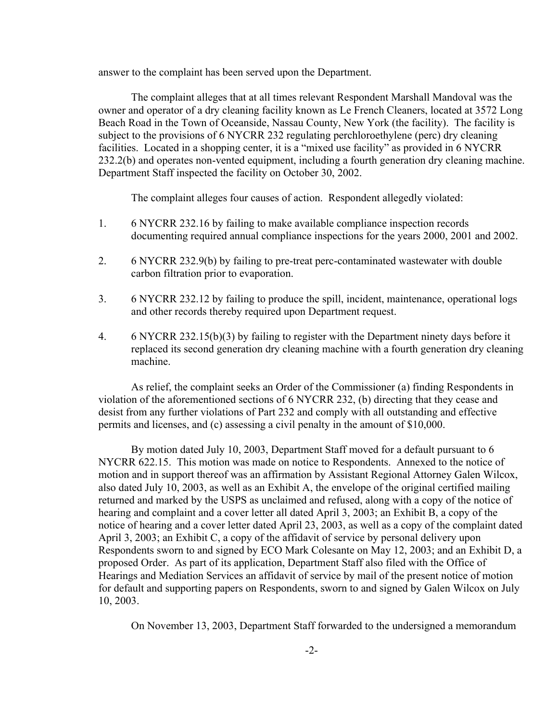answer to the complaint has been served upon the Department.

The complaint alleges that at all times relevant Respondent Marshall Mandoval was the owner and operator of a dry cleaning facility known as Le French Cleaners, located at 3572 Long Beach Road in the Town of Oceanside, Nassau County, New York (the facility). The facility is subject to the provisions of 6 NYCRR 232 regulating perchloroethylene (perc) dry cleaning facilities. Located in a shopping center, it is a "mixed use facility" as provided in 6 NYCRR 232.2(b) and operates non-vented equipment, including a fourth generation dry cleaning machine. Department Staff inspected the facility on October 30, 2002.

The complaint alleges four causes of action. Respondent allegedly violated:

- 1. 6 NYCRR 232.16 by failing to make available compliance inspection records documenting required annual compliance inspections for the years 2000, 2001 and 2002.
- 2. 6 NYCRR 232.9(b) by failing to pre-treat perc-contaminated wastewater with double carbon filtration prior to evaporation.
- 3. 6 NYCRR 232.12 by failing to produce the spill, incident, maintenance, operational logs and other records thereby required upon Department request.
- 4. 6 NYCRR 232.15(b)(3) by failing to register with the Department ninety days before it replaced its second generation dry cleaning machine with a fourth generation dry cleaning machine.

As relief, the complaint seeks an Order of the Commissioner (a) finding Respondents in violation of the aforementioned sections of 6 NYCRR 232, (b) directing that they cease and desist from any further violations of Part 232 and comply with all outstanding and effective permits and licenses, and (c) assessing a civil penalty in the amount of \$10,000.

By motion dated July 10, 2003, Department Staff moved for a default pursuant to 6 NYCRR 622.15. This motion was made on notice to Respondents. Annexed to the notice of motion and in support thereof was an affirmation by Assistant Regional Attorney Galen Wilcox, also dated July 10, 2003, as well as an Exhibit A, the envelope of the original certified mailing returned and marked by the USPS as unclaimed and refused, along with a copy of the notice of hearing and complaint and a cover letter all dated April 3, 2003; an Exhibit B, a copy of the notice of hearing and a cover letter dated April 23, 2003, as well as a copy of the complaint dated April 3, 2003; an Exhibit C, a copy of the affidavit of service by personal delivery upon Respondents sworn to and signed by ECO Mark Colesante on May 12, 2003; and an Exhibit D, a proposed Order. As part of its application, Department Staff also filed with the Office of Hearings and Mediation Services an affidavit of service by mail of the present notice of motion for default and supporting papers on Respondents, sworn to and signed by Galen Wilcox on July 10, 2003.

On November 13, 2003, Department Staff forwarded to the undersigned a memorandum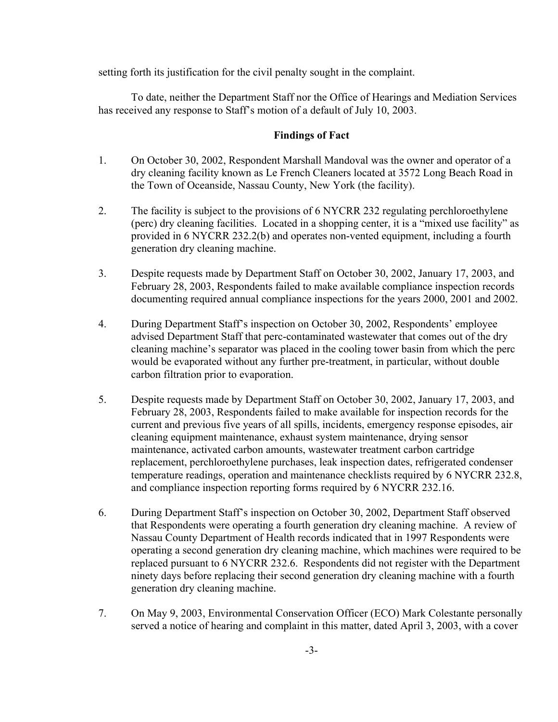setting forth its justification for the civil penalty sought in the complaint.

To date, neither the Department Staff nor the Office of Hearings and Mediation Services has received any response to Staff's motion of a default of July 10, 2003.

# **Findings of Fact**

- 1. On October 30, 2002, Respondent Marshall Mandoval was the owner and operator of a dry cleaning facility known as Le French Cleaners located at 3572 Long Beach Road in the Town of Oceanside, Nassau County, New York (the facility).
- 2. The facility is subject to the provisions of 6 NYCRR 232 regulating perchloroethylene (perc) dry cleaning facilities. Located in a shopping center, it is a "mixed use facility" as provided in 6 NYCRR 232.2(b) and operates non-vented equipment, including a fourth generation dry cleaning machine.
- 3. Despite requests made by Department Staff on October 30, 2002, January 17, 2003, and February 28, 2003, Respondents failed to make available compliance inspection records documenting required annual compliance inspections for the years 2000, 2001 and 2002.
- 4. During Department Staff's inspection on October 30, 2002, Respondents' employee advised Department Staff that perc-contaminated wastewater that comes out of the dry cleaning machine's separator was placed in the cooling tower basin from which the perc would be evaporated without any further pre-treatment, in particular, without double carbon filtration prior to evaporation.
- 5. Despite requests made by Department Staff on October 30, 2002, January 17, 2003, and February 28, 2003, Respondents failed to make available for inspection records for the current and previous five years of all spills, incidents, emergency response episodes, air cleaning equipment maintenance, exhaust system maintenance, drying sensor maintenance, activated carbon amounts, wastewater treatment carbon cartridge replacement, perchloroethylene purchases, leak inspection dates, refrigerated condenser temperature readings, operation and maintenance checklists required by 6 NYCRR 232.8, and compliance inspection reporting forms required by 6 NYCRR 232.16.
- 6. During Department Staff's inspection on October 30, 2002, Department Staff observed that Respondents were operating a fourth generation dry cleaning machine. A review of Nassau County Department of Health records indicated that in 1997 Respondents were operating a second generation dry cleaning machine, which machines were required to be replaced pursuant to 6 NYCRR 232.6. Respondents did not register with the Department ninety days before replacing their second generation dry cleaning machine with a fourth generation dry cleaning machine.
- 7. On May 9, 2003, Environmental Conservation Officer (ECO) Mark Colestante personally served a notice of hearing and complaint in this matter, dated April 3, 2003, with a cover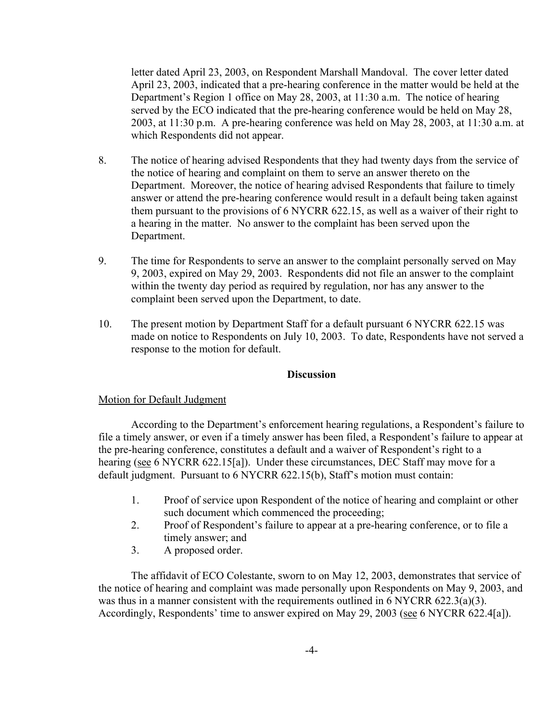letter dated April 23, 2003, on Respondent Marshall Mandoval. The cover letter dated April 23, 2003, indicated that a pre-hearing conference in the matter would be held at the Department's Region 1 office on May 28, 2003, at 11:30 a.m. The notice of hearing served by the ECO indicated that the pre-hearing conference would be held on May 28, 2003, at 11:30 p.m. A pre-hearing conference was held on May 28, 2003, at 11:30 a.m. at which Respondents did not appear.

- 8. The notice of hearing advised Respondents that they had twenty days from the service of the notice of hearing and complaint on them to serve an answer thereto on the Department. Moreover, the notice of hearing advised Respondents that failure to timely answer or attend the pre-hearing conference would result in a default being taken against them pursuant to the provisions of 6 NYCRR 622.15, as well as a waiver of their right to a hearing in the matter. No answer to the complaint has been served upon the Department.
- 9. The time for Respondents to serve an answer to the complaint personally served on May 9, 2003, expired on May 29, 2003. Respondents did not file an answer to the complaint within the twenty day period as required by regulation, nor has any answer to the complaint been served upon the Department, to date.
- 10. The present motion by Department Staff for a default pursuant 6 NYCRR 622.15 was made on notice to Respondents on July 10, 2003. To date, Respondents have not served a response to the motion for default.

### **Discussion**

### Motion for Default Judgment

According to the Department's enforcement hearing regulations, a Respondent's failure to file a timely answer, or even if a timely answer has been filed, a Respondent's failure to appear at the pre-hearing conference, constitutes a default and a waiver of Respondent's right to a hearing (see 6 NYCRR 622.15[a]). Under these circumstances, DEC Staff may move for a default judgment. Pursuant to 6 NYCRR 622.15(b), Staff's motion must contain:

- 1. Proof of service upon Respondent of the notice of hearing and complaint or other such document which commenced the proceeding;
- 2. Proof of Respondent's failure to appear at a pre-hearing conference, or to file a timely answer; and
- 3. A proposed order.

The affidavit of ECO Colestante, sworn to on May 12, 2003, demonstrates that service of the notice of hearing and complaint was made personally upon Respondents on May 9, 2003, and was thus in a manner consistent with the requirements outlined in 6 NYCRR 622.3(a)(3). Accordingly, Respondents' time to answer expired on May 29, 2003 (see 6 NYCRR 622.4[a]).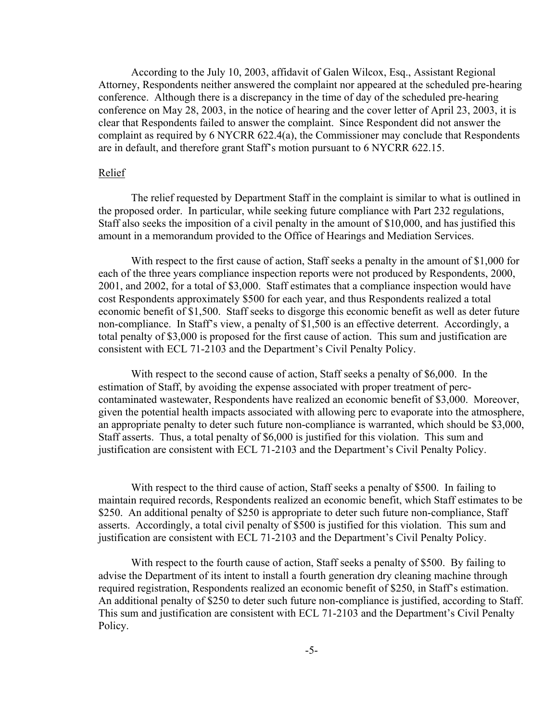According to the July 10, 2003, affidavit of Galen Wilcox, Esq., Assistant Regional Attorney, Respondents neither answered the complaint nor appeared at the scheduled pre-hearing conference. Although there is a discrepancy in the time of day of the scheduled pre-hearing conference on May 28, 2003, in the notice of hearing and the cover letter of April 23, 2003, it is clear that Respondents failed to answer the complaint. Since Respondent did not answer the complaint as required by 6 NYCRR 622.4(a), the Commissioner may conclude that Respondents are in default, and therefore grant Staff's motion pursuant to 6 NYCRR 622.15.

#### Relief

The relief requested by Department Staff in the complaint is similar to what is outlined in the proposed order. In particular, while seeking future compliance with Part 232 regulations, Staff also seeks the imposition of a civil penalty in the amount of \$10,000, and has justified this amount in a memorandum provided to the Office of Hearings and Mediation Services.

With respect to the first cause of action, Staff seeks a penalty in the amount of \$1,000 for each of the three years compliance inspection reports were not produced by Respondents, 2000, 2001, and 2002, for a total of \$3,000. Staff estimates that a compliance inspection would have cost Respondents approximately \$500 for each year, and thus Respondents realized a total economic benefit of \$1,500. Staff seeks to disgorge this economic benefit as well as deter future non-compliance. In Staff's view, a penalty of \$1,500 is an effective deterrent. Accordingly, a total penalty of \$3,000 is proposed for the first cause of action. This sum and justification are consistent with ECL 71-2103 and the Department's Civil Penalty Policy.

With respect to the second cause of action, Staff seeks a penalty of \$6,000. In the estimation of Staff, by avoiding the expense associated with proper treatment of perccontaminated wastewater, Respondents have realized an economic benefit of \$3,000. Moreover, given the potential health impacts associated with allowing perc to evaporate into the atmosphere, an appropriate penalty to deter such future non-compliance is warranted, which should be \$3,000, Staff asserts. Thus, a total penalty of \$6,000 is justified for this violation. This sum and justification are consistent with ECL 71-2103 and the Department's Civil Penalty Policy.

With respect to the third cause of action, Staff seeks a penalty of \$500. In failing to maintain required records, Respondents realized an economic benefit, which Staff estimates to be \$250. An additional penalty of \$250 is appropriate to deter such future non-compliance, Staff asserts. Accordingly, a total civil penalty of \$500 is justified for this violation. This sum and justification are consistent with ECL 71-2103 and the Department's Civil Penalty Policy.

With respect to the fourth cause of action, Staff seeks a penalty of \$500. By failing to advise the Department of its intent to install a fourth generation dry cleaning machine through required registration, Respondents realized an economic benefit of \$250, in Staff's estimation. An additional penalty of \$250 to deter such future non-compliance is justified, according to Staff. This sum and justification are consistent with ECL 71-2103 and the Department's Civil Penalty Policy.